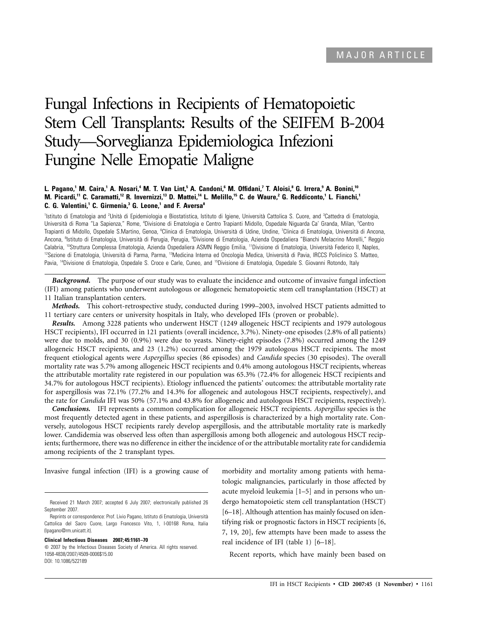# Fungal Infections in Recipients of Hematopoietic Stem Cell Transplants: Results of the SEIFEM B-2004 Study—Sorveglianza Epidemiologica Infezioni Fungine Nelle Emopatie Maligne

### **L. Pagano,1 M. Caira,1 A. Nosari,4 M. T. Van Lint,5 A. Candoni,6 M. Offidani,7 T. Aloisi,8 G. Irrera,9 A. Bonini,10 M. Picardi,11 C. Caramatti,12 R. Invernizzi,13 D. Mattei,14 L. Melillo,15 C. de Waure,2 G. Reddiconto,1 L. Fianchi,1 C. G. Valentini,1 C. Girmenia,3 G. Leone,1 and F. Aversa8**

<sup>1</sup>Istituto di Ematologia and <sup>2</sup>Unità di Epidemiologia e Biostatistica, Istituto di Igiene, Università Cattolica S. Cuore, and <sup>3</sup>Cattedra di Ematologia, Università di Roma "La Sapienza," Rome, <sup>a</sup>Divisione di Ematologia e Centro Trapianti Midollo, Ospedale Niguarda Ca' Granda, Milan, <sup>s</sup>Centro Trapianti di Midollo, Ospedale S.Martino, Genoa, <sup>e</sup>Clinica di Ematologia, Università di Udine, Undine, <sup>7</sup>Clinica di Ematologia, Università di Ancona, Ancona, <sup>s</sup>lstituto di Ematologia, Università di Perugia, Perugia, °Divisione di Ematologia, Azienda Ospedaliera "Bianchi Melacrino Morelli," Reggio Calabria, <sup>10</sup>Struttura Complessa Ematologia, Azienda Ospedaliera ASMN Reggio Emilia, <sup>11</sup>Divisione di Ematologia, Università Federico II, Naples, <sup>12</sup>Sezione di Ematologia, Università di Parma, Parma, <sup>13</sup>Medicina Interna ed Oncologia Medica, Università di Pavia, IRCCS Policlinico S. Matteo, Pavia, <sup>14</sup>Divisione di Ematologia, Ospedale S. Croce e Carle, Cuneo, and <sup>15</sup>Divisione di Ematologia, Ospedale S. Giovanni Rotondo, Italy

*Background.* The purpose of our study was to evaluate the incidence and outcome of invasive fungal infection (IFI) among patients who underwent autologous or allogeneic hematopoietic stem cell transplantation (HSCT) at 11 Italian transplantation centers.

*Methods.* This cohort-retrospective study, conducted during 1999–2003, involved HSCT patients admitted to 11 tertiary care centers or university hospitals in Italy, who developed IFIs (proven or probable).

*Results.* Among 3228 patients who underwent HSCT (1249 allogeneic HSCT recipients and 1979 autologous HSCT recipients), IFI occurred in 121 patients (overall incidence, 3.7%). Ninety-one episodes (2.8% of all patients) were due to molds, and 30 (0.9%) were due to yeasts. Ninety-eight episodes (7.8%) occurred among the 1249 allogeneic HSCT recipients, and 23 (1.2%) occurred among the 1979 autologous HSCT recipients. The most frequent etiological agents were *Aspergillus* species (86 episodes) and *Candida* species (30 episodes). The overall mortality rate was 5.7% among allogeneic HSCT recipients and 0.4% among autologous HSCT recipients, whereas the attributable mortality rate registered in our population was 65.3% (72.4% for allogeneic HSCT recipients and 34.7% for autologous HSCT recipients). Etiology influenced the patients' outcomes: the attributable mortality rate for aspergillosis was 72.1% (77.2% and 14.3% for allogeneic and autologous HSCT recipients, respectively), and the rate for *Candida* IFI was 50% (57.1% and 43.8% for allogeneic and autologous HSCT recipients, respectively).

*Conclusions.* IFI represents a common complication for allogeneic HSCT recipients. *Aspergillus* species is the most frequently detected agent in these patients, and aspergillosis is characterized by a high mortality rate. Conversely, autologous HSCT recipients rarely develop aspergillosis, and the attributable mortality rate is markedly lower. Candidemia was observed less often than aspergillosis among both allogeneic and autologous HSCT recipients; furthermore, there was no difference in either the incidence of or the attributable mortality rate for candidemia among recipients of the 2 transplant types.

Invasive fungal infection (IFI) is a growing cause of

#### **Clinical Infectious Diseases 2007; 45:1161–70**

 $\odot$  2007 by the Infectious Diseases Society of America. All rights reserved. 1058-4838/2007/4509-0006\$15.00 DOI: 10.1086/522189

morbidity and mortality among patients with hematologic malignancies, particularly in those affected by acute myeloid leukemia [1–5] and in persons who undergo hematopoietic stem cell transplantation (HSCT) [6–18]. Although attention has mainly focused on identifying risk or prognostic factors in HSCT recipients [6, 7, 19, 20], few attempts have been made to assess the real incidence of IFI (table 1) [6–18].

Recent reports, which have mainly been based on

Received 21 March 2007; accepted 6 July 2007; electronically published 26 September 2007.

Reprints or correspondence: Prof. Livio Pagano, Istituto di Ematologia, Universita` Cattolica del Sacro Cuore, Largo Francesco Vito, 1, I-00168 Roma, Italia (lpagano@rm.unicatt.it).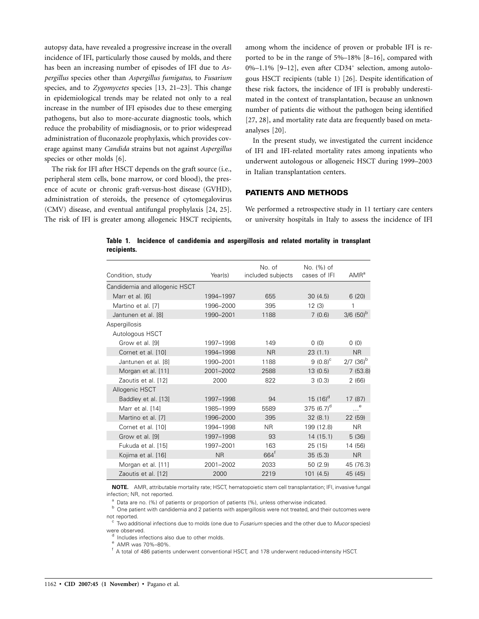autopsy data, have revealed a progressive increase in the overall incidence of IFI, particularly those caused by molds, and there has been an increasing number of episodes of IFI due to *Aspergillus* species other than *Aspergillus fumigatus,* to *Fusarium* species, and to *Zygomycetes* species [13, 21–23]. This change in epidemiological trends may be related not only to a real increase in the number of IFI episodes due to these emerging pathogens, but also to more-accurate diagnostic tools, which reduce the probability of misdiagnosis, or to prior widespread administration of fluconazole prophylaxis, which provides coverage against many *Candida* strains but not against *Aspergillus* species or other molds [6].

The risk for IFI after HSCT depends on the graft source (i.e., peripheral stem cells, bone marrow, or cord blood), the presence of acute or chronic graft-versus-host disease (GVHD), administration of steroids, the presence of cytomegalovirus (CMV) disease, and eventual antifungal prophylaxis [24, 25]. The risk of IFI is greater among allogeneic HSCT recipients, among whom the incidence of proven or probable IFI is reported to be in the range of 5%–18% [8–16], compared with 0%–1.1% [9–12], even after CD34<sup>+</sup> selection, among autologous HSCT recipients (table 1) [26]. Despite identification of these risk factors, the incidence of IFI is probably underestimated in the context of transplantation, because an unknown number of patients die without the pathogen being identified [27, 28], and mortality rate data are frequently based on metaanalyses [20].

In the present study, we investigated the current incidence of IFI and IFI-related mortality rates among inpatients who underwent autologous or allogeneic HSCT during 1999–2003 in Italian transplantation centers.

## **PATIENTS AND METHODS**

We performed a retrospective study in 11 tertiary care centers or university hospitals in Italy to assess the incidence of IFI

**Table 1. Incidence of candidemia and aspergillosis and related mortality in transplant recipients.**

| Condition, study              | Year(s)   | No. of<br>included subjects | No. (%) of<br>cases of IFI | $AMR^a$                 |
|-------------------------------|-----------|-----------------------------|----------------------------|-------------------------|
| Candidemia and allogenic HSCT |           |                             |                            |                         |
| Marr et al. [6]               | 1994-1997 | 655                         | 30(4.5)                    | 6(20)                   |
| Martino et al. [7]            | 1996-2000 | 395                         | 12(3)                      | 1                       |
| Jantunen et al. [8]           | 1990-2001 | 1188                        | 7(0.6)                     | $3/6$ (50) <sup>b</sup> |
| Aspergillosis                 |           |                             |                            |                         |
| Autologous HSCT               |           |                             |                            |                         |
| Grow et al. [9]               | 1997-1998 | 149                         | (0)                        | (0)                     |
| Cornet et al. [10]            | 1994-1998 | <b>NR</b>                   | 23(1.1)                    | <b>NR</b>               |
| Jantunen et al. [8]           | 1990-2001 | 1188                        | $9(0.8)^c$                 | $2/7$ (36) <sup>b</sup> |
| Morgan et al. [11]            | 2001-2002 | 2588                        | 13(0.5)                    | 7(53.8)                 |
| Zaoutis et al. [12]           | 2000      | 822                         | 3(0.3)                     | 2(66)                   |
| Allogenic HSCT                |           |                             |                            |                         |
| Baddley et al. [13]           | 1997-1998 | 94                          | $15(16)^d$                 | 17 (87)                 |
| Marr et al. [14]              | 1985-1999 | 5589                        | 375 $(6.7)^d$              | $\ldots$ <sup>e</sup>   |
| Martino et al. [7]            | 1996-2000 | 395                         | 32(8.1)                    | 22 (59)                 |
| Cornet et al. [10]            | 1994-1998 | N <sub>R</sub>              | 199 (12.8)                 | N <sub>R</sub>          |
| Grow et al. [9]               | 1997-1998 | 93                          | 14(15.1)                   | 5(36)                   |
| Fukuda et al. [15]            | 1997-2001 | 163                         | 25 (15)                    | 14 (56)                 |
| Kojima et al. [16]            | <b>NR</b> | 664 <sup>t</sup>            | 35(5.3)                    | N <sub>R</sub>          |
| Morgan et al. [11]            | 2001-2002 | 2033                        | 50 (2.9)                   | 45 (76.3)               |
| Zaoutis et al. [12]           | 2000      | 2219                        | 101(4.5)                   | 45 (45)                 |

**NOTE.** AMR, attributable mortality rate; HSCT, hematopoietic stem cell transplantation; IFI, invasive fungal infection; NR, not reported.

<sup>a</sup> Data are no. (%) of patients or proportion of patients (%), unless otherwise indicated.<br><sup>b</sup> One patient with candidemia and 2 patients with aspergillosis were not treated, and their outcomes were

not reported.<br><sup>c</sup> Two additional infections due to molds (one due to *Fusarium* species and the other due to *Mucor* species) were observed.<br><sup>d</sup> Includes infections also due to other molds.<br><sup>e</sup> AMR was 70%–80%.<br><sup>f</sup> A total of 486 patients underwent conventional HSCT, and 178 underwent reduced-intensity HSCT.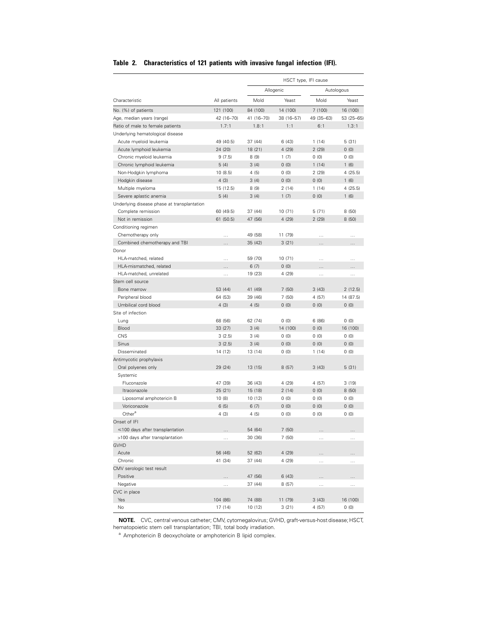|  | Table 2. Characteristics of 121 patients with invasive fungal infection (IFI). |  |  |  |  |  |  |  |  |
|--|--------------------------------------------------------------------------------|--|--|--|--|--|--|--|--|
|--|--------------------------------------------------------------------------------|--|--|--|--|--|--|--|--|

|                                             |              |                    |                  | HSCT type, IFI cause |                  |  |  |
|---------------------------------------------|--------------|--------------------|------------------|----------------------|------------------|--|--|
|                                             |              |                    | Allogenic        |                      | Autologous       |  |  |
| Characteristic                              | All patients | Mold               | Yeast            | Mold                 | Yeast            |  |  |
| No. (%) of patients                         | 121 (100)    | 84 (100)           | 14 (100)         | 7(100)               | 16 (100)         |  |  |
| Age, median years (range)                   | 42 (16-70)   | 41 (16-70)         | 38 (16-57)       | 49 (35-63)           | 53 (25-65)       |  |  |
| Ratio of male to female patients            | 1.7:1        | 1.8:1              | 1:1              | 6:1                  | 1.3:1            |  |  |
| Underlying hematological disease            |              |                    |                  |                      |                  |  |  |
| Acute myeloid leukemia                      | 49 (40.5)    | 37 (44)            | 6 (43)           | 1(14)                | 5(31)            |  |  |
| Acute lymphoid leukemia                     | 24 (20)      | 18 (21)            | 4 (29)           | 2(29)                | 0(0)             |  |  |
| Chronic myeloid leukemia                    | 9(7.5)       | 8(9)               | 1(7)             | 0(0)                 | 0(0)             |  |  |
| Chronic lymphoid leukemia                   | 5(4)         | 3(4)               | (0)              | 1(14)                | 1(6)             |  |  |
| Non-Hodgkin lymphoma                        | 10 (8.5)     | 4(5)               | 0(0)             | 2(29)                | 4(25.5)          |  |  |
| Hodgkin disease                             | 4(3)         | 3(4)               | 0(0)             | 0(0)                 | 1(6)             |  |  |
| Multiple myeloma                            | 15 (12.5)    | 8(9)               | 2(14)            | 1(14)                | 4(25.5)          |  |  |
| Severe aplastic anemia                      | 5(4)         | 3(4)               | 1(7)             | 0(0)                 | 1(6)             |  |  |
| Underlying disease phase at transplantation |              |                    |                  |                      |                  |  |  |
| Complete remission                          | 60 (49.5)    | 37 (44)            | 10 (71)          | 5(71)                | 8(50)            |  |  |
| Not in remission                            | 61 (50.5)    | 47 (56)            | 4 (29)           | 2(29)                | 8(50)            |  |  |
| Conditioning regimen                        |              |                    |                  |                      |                  |  |  |
| Chemotherapy only                           | .            | 49 (58)            | 11 (79)          | .                    |                  |  |  |
| Combined chemotherapy and TBI               | .            | 35 (42)            | 3(21)            | .                    | .                |  |  |
| Donor                                       |              |                    |                  |                      |                  |  |  |
| HLA-matched, related                        | $\cdots$     | 59 (70)            | 10(71)           | $\cdots$             | $\cdots$         |  |  |
| HLA-mismatched, related                     | .            | 6(7)               | 0(0)             | .                    | .                |  |  |
| HLA-matched, unrelated                      | $\cdots$     | 19 (23)            | 4 (29)           | $\cdots$             | .                |  |  |
| Stem cell source                            |              |                    |                  |                      |                  |  |  |
| Bone marrow                                 | 53 (44)      | 41 (49)            | 7(50)            | 3(43)                | 2(12.5)          |  |  |
| Peripheral blood                            | 64 (53)      | 39 (46)            | 7(50)            | 4(57)                | 14 (87.5)        |  |  |
| Umbilical cord blood                        | 4(3)         | 4(5)               | 0(0)             | 0(0)                 | 0(0)             |  |  |
| Site of infection                           |              |                    |                  |                      |                  |  |  |
| Lung                                        | 68 (56)      | 62 (74)            | 0(0)             | 6(86)                | 0(0)             |  |  |
| Blood                                       | 33 (27)      | 3(4)               | 14 (100)         | 0(0)                 | 16 (100)         |  |  |
| <b>CNS</b>                                  | 3(2.5)       | 3(4)               | 0(0)             | 0(0)                 | 0(0)             |  |  |
| Sinus                                       | 3(2.5)       | 3(4)               | 0(0)             | 0(0)                 | 0(0)             |  |  |
| Disseminated                                | 14 (12)      | 13 (14)            | 0(0)             | 1(14)                | 0(0)             |  |  |
| Antimycotic prophylaxis                     |              |                    |                  |                      |                  |  |  |
| Oral polyenes only                          | 29 (24)      | 13 (15)            | 8(57)            | 3(43)                | 5(31)            |  |  |
| Systemic                                    |              |                    |                  |                      |                  |  |  |
| Fluconazole                                 | 47 (39)      | 36 (43)            | 4 (29)           | 4(57)                | 3(19)            |  |  |
| Itraconazole                                | 25 (21)      | 15 (18)            | 2(14)            | 0(0)                 | 8(50)            |  |  |
| Liposomal amphotericin B                    | 10(8)        | 10 (12)            | 0(0)             | 0(0)                 | 0(0)             |  |  |
| Voriconazole                                | 6(5)         | 6(7)               | 0(0)             | 0(0)                 | 0(0)             |  |  |
| Other <sup>a</sup>                          | 4(3)         | 4(5)               | 0(0)             | 0(0)                 | 0(0)             |  |  |
| Onset of IFI                                |              |                    |                  |                      |                  |  |  |
| ≤100 days after transplantation             |              | 54 (64)            | 7 (50)           |                      |                  |  |  |
| >100 days after transplantation             | .            | 30 (36)            | 7 (50)           | .                    | $\cdots$         |  |  |
| <b>GVHD</b>                                 |              |                    |                  |                      |                  |  |  |
| Acute                                       | 56 (46)      | 52 (62)            | 4 (29)           |                      |                  |  |  |
| Chronic                                     | 41 (34)      | 37 (44)            | 4 (29)           |                      |                  |  |  |
| CMV serologic test result                   |              |                    |                  | .                    | .                |  |  |
| Positive                                    |              | 47 (56)            | 6 (43)           |                      |                  |  |  |
| Negative                                    |              | 37 (44)            | 8 (57)           |                      |                  |  |  |
| CVC in place                                | .            |                    |                  | .                    | .                |  |  |
| Yes                                         | 104 (86)     |                    |                  | 3(43)                |                  |  |  |
| No                                          | 17 (14)      | 74 (88)<br>10 (12) | 11 (79)<br>3(21) | 4(57)                | 16 (100)<br>0(0) |  |  |
|                                             |              |                    |                  |                      |                  |  |  |

**NOTE.** CVC, central venous catheter; CMV, cytomegalovirus; GVHD, graft-versus-host disease;HSCT, hematopoietic stem cell transplantation; TBI, total body irradiation.

<sup>a</sup> Amphotericin B deoxycholate or amphotericin B lipid complex.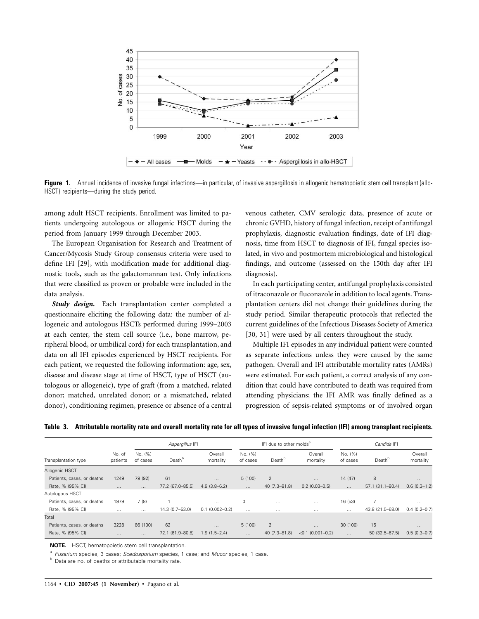

**Figure 1.** Annual incidence of invasive fungal infections—in particular, of invasive aspergillosis in allogenic hematopoietic stem cell transplant (allo-HSCT) recipients—during the study period.

among adult HSCT recipients. Enrollment was limited to patients undergoing autologous or allogenic HSCT during the period from January 1999 through December 2003.

The European Organisation for Research and Treatment of Cancer/Mycosis Study Group consensus criteria were used to define IFI [29], with modification made for additional diagnostic tools, such as the galactomannan test. Only infections that were classified as proven or probable were included in the data analysis.

*Study design.* Each transplantation center completed a questionnaire eliciting the following data: the number of allogeneic and autologous HSCTs performed during 1999–2003 at each center, the stem cell source (i.e., bone marrow, peripheral blood, or umbilical cord) for each transplantation, and data on all IFI episodes experienced by HSCT recipients. For each patient, we requested the following information: age, sex, disease and disease stage at time of HSCT, type of HSCT (autologous or allogeneic), type of graft (from a matched, related donor; matched, unrelated donor; or a mismatched, related donor), conditioning regimen, presence or absence of a central venous catheter, CMV serologic data, presence of acute or chronic GVHD, history of fungal infection, receipt of antifungal prophylaxis, diagnostic evaluation findings, date of IFI diagnosis, time from HSCT to diagnosis of IFI, fungal species isolated, in vivo and postmortem microbiological and histological findings, and outcome (assessed on the 150th day after IFI diagnosis).

In each participating center, antifungal prophylaxis consisted of itraconazole or fluconazole in addition to local agents. Transplantation centers did not change their guidelines during the study period. Similar therapeutic protocols that reflected the current guidelines of the Infectious Diseases Society of America [30, 31] were used by all centers throughout the study.

Multiple IFI episodes in any individual patient were counted as separate infections unless they were caused by the same pathogen. Overall and IFI attributable mortality rates (AMRs) were estimated. For each patient, a correct analysis of any condition that could have contributed to death was required from attending physicians; the IFI AMR was finally defined as a progression of sepsis-related symptoms or of involved organ

| Table 3. Attributable mortality rate and overall mortality rate for all types of invasive fungal infection (IFI) among transplant recipients. |  |  |
|-----------------------------------------------------------------------------------------------------------------------------------------------|--|--|
|                                                                                                                                               |  |  |

|                            |                    |                     | Aspergillus IFI    | IFI due to other molds <sup>a</sup> |                     |               | Candida IFI          |                     |                    |                      |
|----------------------------|--------------------|---------------------|--------------------|-------------------------------------|---------------------|---------------|----------------------|---------------------|--------------------|----------------------|
| Transplantation type       | No. of<br>patients | No. (%)<br>of cases | Death <sup>b</sup> | Overall<br>mortality                | No. (%)<br>of cases | Death         | Overall<br>mortality | No. (%)<br>of cases | Death <sup>b</sup> | Overall<br>mortality |
| Allogenic HSCT             |                    |                     |                    |                                     |                     |               |                      |                     |                    |                      |
| Patients, cases, or deaths | 1249               | 79 (92)             | 61                 | $\cdots$                            | 5(100)              | 2             | $\cdots$             | 14 (47)             | 8                  | $\cdots$             |
| Rate, % (95% CI)           | $\cdots$           | $\cdots$            | 77.2 (67.0-85.5)   | $4.9(3.8-6.2)$                      | $\cdots$            | 40 (7.3-81.8) | $0.2$ (0.03-0.5)     | $\cdots$            | 57.1 (31.1-80.4)   | $0.6(0.3-1.2)$       |
| Autologous HSCT            |                    |                     |                    |                                     |                     |               |                      |                     |                    |                      |
| Patients, cases, or deaths | 1979               | 7(8)                |                    | $\cdots$                            | 0                   | $\cdots$      | $\cdots$             | 16 (53)             | 7                  | $\cdots$             |
| Rate, % (95% CI)           | $\cdots$           | $\cdots$            | 14.3 (0.7-53.0)    | $0.1(0.002 - 0.2)$                  | $\cdots$            | $\cdots$      | $\cdots$             | $\cdots$            | 43.8 (21.5-68.0)   | $0.4(0.2 - 0.7)$     |
| Total                      |                    |                     |                    |                                     |                     |               |                      |                     |                    |                      |
| Patients, cases, or deaths | 3228               | 86 (100)            | 62                 | $\cdots$                            | 5(100)              | 2             | $\cdots$             | 30 (100)            | 15                 | $\cdots$             |
| Rate, % (95% CI)           | $\cdots$           | $\cdots$            | 72.1 (61.9-80.8)   | $1.9(1.5 - 2.4)$                    | $\cdots$            | 40 (7.3-81.8) | $<0.1$ (0.001-0.2)   | $\cdots$            | $50(32.5 - 67.5)$  | $0.5(0.3 - 0.7)$     |

**NOTE.** HSCT, hematopoietic stem cell transplantation.

<sup>a</sup> *Fusarium* species, 3 cases; *Scedosporium* species, 1 case; and *Mucor* species, 1 case. b Data are no. of deaths or attributable mortality rate.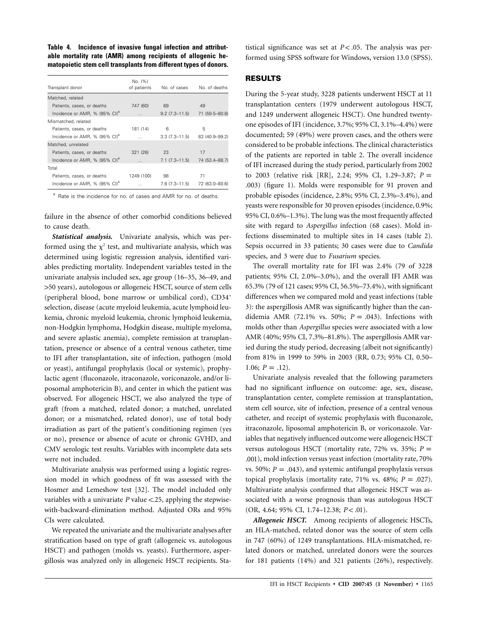**Table 4. Incidence of invasive fungal infection and attributable mortality rate (AMR) among recipients of allogenic hematopoietic stem cell transplants from different types of donors.**

| No. (%)<br>of patients | No. of cases      | No. of deaths    |
|------------------------|-------------------|------------------|
|                        |                   |                  |
| 747 (60)               | 69                | 49               |
| $\cdots$               | $9.2(7.3 - 11.5)$ | 71 (59.5-80.8)   |
|                        |                   |                  |
| 181 (14)               | 6                 | 5                |
| $\cdots$               | $3.3(7.3 - 11.5)$ | 83 (40.9-99.2)   |
|                        |                   |                  |
| 321 (26)               | 23                | 17               |
| $\cdots$               | $7.1(7.3 - 11.5)$ | 74 (53.4 - 88.7) |
|                        |                   |                  |
| 1249 (100)             | 98                | 71               |
| $\cdots$               | $7.8(7.3 - 11.5)$ | 72 (63.0-80.6)   |
|                        |                   |                  |

<sup>a</sup> Rate is the incidence for no. of cases and AMR for no. of deaths.

failure in the absence of other comorbid conditions believed to cause death.

*Statistical analysis.* Univariate analysis, which was performed using the  $\chi^2$  test, and multivariate analysis, which was determined using logistic regression analysis, identified variables predicting mortality. Independent variables tested in the univariate analysis included sex, age group (16–35, 36–49, and 150 years), autologous or allogeneic HSCT, source of stem cells (peripheral blood, bone marrow or umbilical cord), CD34+ selection, disease (acute myeloid leukemia, acute lymphoid leukemia, chronic myeloid leukemia, chronic lymphoid leukemia, non-Hodgkin lymphoma, Hodgkin disease, multiple myeloma, and severe aplastic anemia), complete remission at transplantation, presence or absence of a central venous catheter, time to IFI after transplantation, site of infection, pathogen (mold or yeast), antifungal prophylaxis (local or systemic), prophylactic agent (fluconazole, itraconazole, voriconazole, and/or liposomal amphotericin B), and center in which the patient was observed. For allogeneic HSCT, we also analyzed the type of graft (from a matched, related donor; a matched, unrelated donor; or a mismatched, related donor), use of total body irradiation as part of the patient's conditioning regimen (yes or no), presence or absence of acute or chronic GVHD, and CMV serologic test results. Variables with incomplete data sets were not included.

Multivariate analysis was performed using a logistic regression model in which goodness of fit was assessed with the Hosmer and Lemeshow test [32]. The model included only variables with a univariate  $P$  value  $\langle .25,$  applying the stepwisewith-backward-elimination method. Adjusted ORs and 95% CIs were calculated.

We repeated the univariate and the multivariate analyses after stratification based on type of graft (allogeneic vs. autologous HSCT) and pathogen (molds vs. yeasts). Furthermore, aspergillosis was analyzed only in allogeneic HSCT recipients. Statistical significance was set at  $P < .05$ . The analysis was performed using SPSS software for Windows, version 13.0 (SPSS).

#### **RESULTS**

During the 5-year study, 3228 patients underwent HSCT at 11 transplantation centers (1979 underwent autologous HSCT, and 1249 underwent allogeneic HSCT). One hundred twentyone episodes of IFI (incidence, 3.7%; 95% CI, 3.1%–4.4%) were documented; 59 (49%) were proven cases, and the others were considered to be probable infections. The clinical characteristics of the patients are reported in table 2. The overall incidence of IFI increased during the study period, particularly from 2002 to 2003 (relative risk [RR], 2.24; 95% CI, 1.29–3.87;  $P =$ .003) (figure 1). Molds were responsible for 91 proven and probable episodes (incidence, 2.8%; 95% CI, 2.3%–3.4%), and yeasts were responsible for 30 proven episodes (incidence, 0.9%; 95% CI, 0.6%–1.3%). The lung was the most frequently affected site with regard to *Aspergillus* infection (68 cases). Mold infections disseminated to multiple sites in 14 cases (table 2). Sepsis occurred in 33 patients; 30 cases were due to *Candida* species, and 3 were due to *Fusarium* species.

The overall mortality rate for IFI was 2.4% (79 of 3228 patients; 95% CI, 2.0%–3.0%), and the overall IFI AMR was 65.3% (79 of 121 cases; 95% CI, 56.5%–73.4%), with significant differences when we compared mold and yeast infections (table 3): the aspergillosis AMR was significantly higher than the candidemia AMR (72.1% vs. 50%;  $P = .043$ ). Infections with molds other than *Aspergillus* species were associated with a low AMR (40%; 95% CI, 7.3%–81.8%). The aspergillosis AMR varied during the study period, decreasing (albeit not significantly) from 81% in 1999 to 59% in 2003 (RR, 0.73; 95% CI, 0.50– 1.06;  $P = .12$ ).

Univariate analysis revealed that the following parameters had no significant influence on outcome: age, sex, disease, transplantation center, complete remission at transplantation, stem cell source, site of infection, presence of a central venous catheter, and receipt of systemic prophylaxis with fluconazole, itraconazole, liposomal amphotericin B, or voriconazole. Variables that negatively influenced outcome were allogeneic HSCT versus autologous HSCT (mortality rate, 72% vs. 35%;  $P =$ .001), mold infection versus yeast infection (mortality rate, 70% vs. 50%;  $P = .043$ ), and systemic antifungal prophylaxis versus topical prophylaxis (mortality rate,  $71\%$  vs.  $48\%$ ;  $P = .027$ ). Multivariate analysis confirmed that allogeneic HSCT was associated with a worse prognosis than was autologous HSCT (OR, 4.64; 95% CI, 1.74–12.38; *P* < .01).

*Allogeneic HSCT.* Among recipients of allogeneic HSCTs, an HLA-matched, related donor was the source of stem cells in 747 (60%) of 1249 transplantations. HLA-mismatched, related donors or matched, unrelated donors were the sources for 181 patients (14%) and 321 patients (26%), respectively.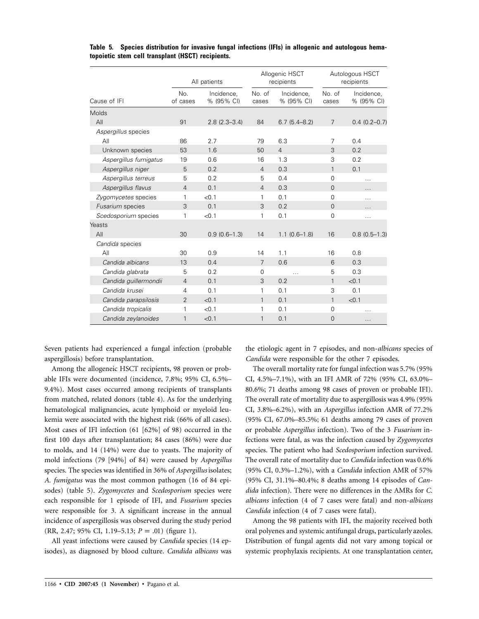|                       |                 | All patients             |                 | Allogenic HSCT<br>recipients |                 | Autologous HSCT<br>recipients |
|-----------------------|-----------------|--------------------------|-----------------|------------------------------|-----------------|-------------------------------|
| Cause of IFI          | No.<br>of cases | Incidence,<br>% (95% CI) | No. of<br>cases | Incidence,<br>% (95% CI)     | No. of<br>cases | Incidence,<br>% (95% CI)      |
| <b>Molds</b>          |                 |                          |                 |                              |                 |                               |
| All                   | 91              | $2.8(2.3 - 3.4)$         | 84              | $6.7(5.4 - 8.2)$             | $\overline{7}$  | $0.4(0.2 - 0.7)$              |
| Aspergillus species   |                 |                          |                 |                              |                 |                               |
| All                   | 86              | 2.7                      | 79              | 6.3                          | 7               | 0.4                           |
| Unknown species       | 53              | 1.6                      | 50              | $\overline{4}$               | 3               | 0.2                           |
| Aspergillus fumigatus | 19              | 0.6                      | 16              | 1.3                          | 3               | 0.2                           |
| Aspergillus niger     | 5               | 0.2                      | $\overline{4}$  | 0.3                          | $\mathbf{1}$    | 0.1                           |
| Aspergillus terreus   | 5               | 0.2                      | 5               | 0.4                          | 0               | $\cdots$                      |
| Aspergillus flavus    | $\overline{4}$  | 0.1                      | $\overline{4}$  | 0.3                          | $\overline{0}$  | .                             |
| Zygomycetes species   | 1               | < 0.1                    | 1               | 0.1                          | $\Omega$        | $\cdots$                      |
| Fusarium species      | 3               | 0.1                      | 3               | 0.2                          | $\Omega$        | .                             |
| Scedosporium species  | 1               | < 0.1                    | 1               | 0.1                          | $\overline{0}$  | $\cdots$                      |
| Yeasts                |                 |                          |                 |                              |                 |                               |
| AlI                   | 30              | $0.9(0.6-1.3)$           | 14              | $1.1(0.6-1.8)$               | 16              | $0.8(0.5-1.3)$                |
| Candida species       |                 |                          |                 |                              |                 |                               |
| All                   | 30              | 0.9                      | 14              | 1.1                          | 16              | 0.8                           |
| Candida albicans      | 13              | 0.4                      | $\overline{7}$  | 0.6                          | 6               | 0.3                           |
| Candida glabrata      | 5               | 0.2                      | 0               | $\cdots$                     | 5               | 0.3                           |
| Candida guillermondii | $\overline{4}$  | 0.1                      | 3               | 0.2                          | $\mathbf{1}$    | < 0.1                         |
| Candida krusei        | 4               | 0.1                      | 1               | 0.1                          | 3               | 0.1                           |
| Candida parapsilosis  | $\overline{2}$  | < 0.1                    | 1               | 0.1                          | 1               | < 0.1                         |
| Candida tropicalis    | 1               | < 0.1                    | 1               | 0.1                          | $\Omega$        | $\cdots$                      |
| Candida zeylanoides   | $\mathbf{1}$    | < 0.1                    | $\mathbf{1}$    | 0.1                          | $\overline{0}$  | $\cdots$                      |

**Table 5. Species distribution for invasive fungal infections (IFIs) in allogenic and autologous hematopoietic stem cell transplant (HSCT) recipients.**

Seven patients had experienced a fungal infection (probable aspergillosis) before transplantation.

Among the allogeneic HSCT recipients, 98 proven or probable IFIs were documented (incidence, 7.8%; 95% CI, 6.5%– 9.4%). Most cases occurred among recipients of transplants from matched, related donors (table 4). As for the underlying hematological malignancies, acute lymphoid or myeloid leukemia were associated with the highest risk (66% of all cases). Most cases of IFI infection (61 [62%] of 98) occurred in the first 100 days after transplantation; 84 cases (86%) were due to molds, and 14 (14%) were due to yeasts. The majority of mold infections (79 [94%] of 84) were caused by *Aspergillus* species. The species was identified in 36% of *Aspergillus* isolates; *A. fumigatus* was the most common pathogen (16 of 84 episodes) (table 5). *Zygomycetes* and *Scedosporium* species were each responsible for 1 episode of IFI, and *Fusarium* species were responsible for 3. A significant increase in the annual incidence of aspergillosis was observed during the study period (RR, 2.47; 95% CI, 1.19–5.13;  $P = .01$ ) (figure 1).

All yeast infections were caused by *Candida* species (14 episodes), as diagnosed by blood culture. *Candida albicans* was the etiologic agent in 7 episodes, and non-*albicans* species of *Candida* were responsible for the other 7 episodes.

The overall mortality rate for fungal infection was 5.7% (95% CI, 4.5%–7.1%), with an IFI AMR of 72% (95% CI, 63.0%– 80.6%; 71 deaths among 98 cases of proven or probable IFI). The overall rate of mortality due to aspergillosis was 4.9% (95% CI, 3.8%–6.2%), with an *Aspergillus* infection AMR of 77.2% (95% CI, 67.0%–85.5%; 61 deaths among 79 cases of proven or probable *Aspergillus* infection). Two of the 3 *Fusarium* infections were fatal, as was the infection caused by *Zygomycetes* species. The patient who had *Scedosporium* infection survived. The overall rate of mortality due to *Candida* infection was 0.6% (95% CI, 0.3%–1.2%), with a *Candida* infection AMR of 57% (95% CI, 31.1%–80.4%; 8 deaths among 14 episodes of *Candida* infection). There were no differences in the AMRs for *C. albicans* infection (4 of 7 cases were fatal) and non-*albicans Candida* infection (4 of 7 cases were fatal).

Among the 98 patients with IFI, the majority received both oral polyenes and systemic antifungal drugs, particularly azoles. Distribution of fungal agents did not vary among topical or systemic prophylaxis recipients. At one transplantation center,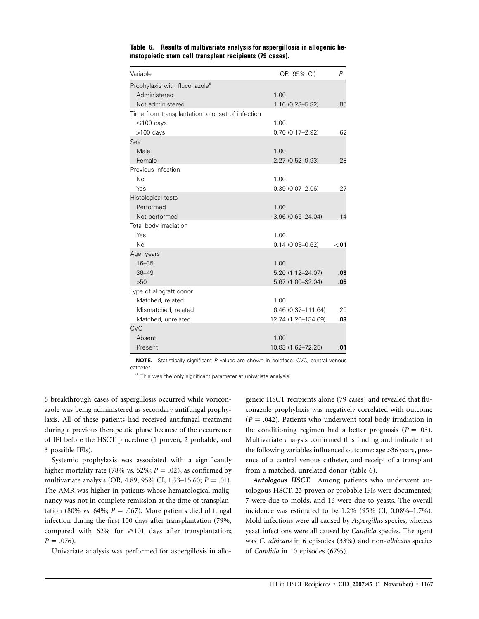| Variable                                        | OR (95% CI)         | $\overline{P}$ |
|-------------------------------------------------|---------------------|----------------|
| Prophylaxis with fluconazole <sup>a</sup>       |                     |                |
| Administered                                    | 1.00                |                |
| Not administered                                | $1.16(0.23 - 5.82)$ | .85            |
| Time from transplantation to onset of infection |                     |                |
| $\leq 100$ days                                 | 1.00                |                |
| >100 days                                       | $0.70(0.17 - 2.92)$ | .62            |
| Sex                                             |                     |                |
| Male                                            | 1.00                |                |
| Female                                          | 2.27 (0.52-9.93)    | .28            |
| Previous infection                              |                     |                |
| <b>No</b>                                       | 1.00                |                |
| Yes                                             | $0.39(0.07 - 2.06)$ | .27            |
| Histological tests                              |                     |                |
| Performed                                       | 1.00                |                |
| Not performed                                   | 3.96 (0.65-24.04)   | .14            |
| Total body irradiation                          |                     |                |
| Yes                                             | 1.00                |                |
| <b>No</b>                                       | $0.14(0.03 - 0.62)$ | < 01           |
| Age, years                                      |                     |                |
| $16 - 35$                                       | 1.00                |                |
| $36 - 49$                                       | 5.20 (1.12-24.07)   | .03            |
| >50                                             | 5.67 (1.00-32.04)   | .05            |
| Type of allograft donor                         |                     |                |
| Matched, related                                | 1.00                |                |
| Mismatched, related                             | 6.46 (0.37-111.64)  | .20            |
| Matched, unrelated                              | 12.74 (1.20-134.69) | .03            |
| <b>CVC</b>                                      |                     |                |
| Absent                                          | 1.00                |                |
| Present                                         | 10.83 (1.62-72.25)  | .01            |

**Table 6. Results of multivariate analysis for aspergillosis in allogenic hematopoietic stem cell transplant recipients (79 cases).**

**NOTE.** Statistically significant *P* values are shown in boldface. CVC, central venous catheter.

<sup>a</sup> This was the only significant parameter at univariate analysis.

6 breakthrough cases of aspergillosis occurred while voriconazole was being administered as secondary antifungal prophylaxis. All of these patients had received antifungal treatment during a previous therapeutic phase because of the occurrence of IFI before the HSCT procedure (1 proven, 2 probable, and 3 possible IFIs).

Systemic prophylaxis was associated with a significantly higher mortality rate (78% vs. 52%;  $P = .02$ ), as confirmed by multivariate analysis (OR, 4.89; 95% CI, 1.53–15.60;  $P = .01$ ). The AMR was higher in patients whose hematological malignancy was not in complete remission at the time of transplantation (80% vs. 64%;  $P = .067$ ). More patients died of fungal infection during the first 100 days after transplantation (79%, compared with  $62\%$  for  $\geq 101$  days after transplantation;  $P = .076$ .

Univariate analysis was performed for aspergillosis in allo-

geneic HSCT recipients alone (79 cases) and revealed that fluconazole prophylaxis was negatively correlated with outcome  $(P = .042)$ . Patients who underwent total body irradiation in the conditioning regimen had a better prognosis ( $P = .03$ ). Multivariate analysis confirmed this finding and indicate that the following variables influenced outcome: age > 36 years, presence of a central venous catheter, and receipt of a transplant from a matched, unrelated donor (table 6).

*Autologous HSCT.* Among patients who underwent autologous HSCT, 23 proven or probable IFIs were documented; 7 were due to molds, and 16 were due to yeasts. The overall incidence was estimated to be 1.2% (95% CI, 0.08%–1.7%). Mold infections were all caused by *Aspergillus* species, whereas yeast infections were all caused by *Candida* species. The agent was *C. albicans* in 6 episodes (33%) and non-*albicans* species of *Candida* in 10 episodes (67%).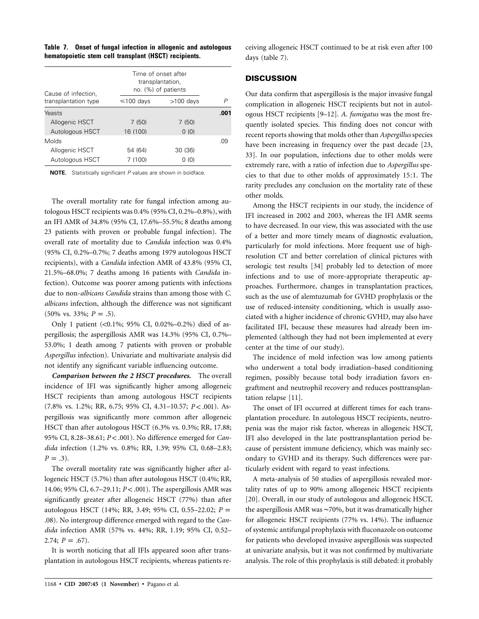|                                                       |  | Table 7. Onset of fungal infection in allogenic and autologous |
|-------------------------------------------------------|--|----------------------------------------------------------------|
| hematopoietic stem cell transplant (HSCT) recipients. |  |                                                                |

| Cause of infection,  | Time of onset after | transplantation,<br>no. (%) of patients |      |
|----------------------|---------------------|-----------------------------------------|------|
| transplantation type | $\leq 100$ days     | $>100$ days                             | P    |
| Yeasts               |                     |                                         | .001 |
| Allogenic HSCT       | 7 (50)              | 7 (50)                                  |      |
| Autologous HSCT      | 16 (100)            | 0(0)                                    |      |
| Molds                |                     |                                         | ი9   |
| Allogenic HSCT       | 54 (64)             | 30 (36)                                 |      |
| Autologous HSCT      | 7 (100)             | 0(0)                                    |      |

**NOTE.** Statistically significant *P* values are shown in boldface.

The overall mortality rate for fungal infection among autologous HSCT recipients was 0.4% (95% CI, 0.2%–0.8%), with an IFI AMR of 34.8% (95% CI, 17.6%–55.5%; 8 deaths among 23 patients with proven or probable fungal infection). The overall rate of mortality due to *Candida* infection was 0.4% (95% CI, 0.2%–0.7%; 7 deaths among 1979 autologous HSCT recipients), with a *Candida* infection AMR of 43.8% (95% CI, 21.5%–68.0%; 7 deaths among 16 patients with *Candida* infection). Outcome was poorer among patients with infections due to non-*albicans Candida* strains than among those with *C. albicans* infection, although the difference was not significant  $(50\% \text{ vs. } 33\%; P = .5).$ 

Only 1 patient  $\left( < 0.1\%; 95\% \right)$  CI, 0.02%–0.2%) died of aspergillosis; the aspergillosis AMR was 14.3% (95% CI, 0.7%– 53.0%; 1 death among 7 patients with proven or probable *Aspergillus* infection). Univariate and multivariate analysis did not identify any significant variable influencing outcome.

*Comparison between the 2 HSCT procedures.* The overall incidence of IFI was significantly higher among allogeneic HSCT recipients than among autologous HSCT recipients (7.8% vs. 1.2%; RR, 6.75; 95% CI, 4.31-10.57;  $P < .001$ ). Aspergillosis was significantly more common after allogeneic HSCT than after autologous HSCT (6.3% vs. 0.3%; RR, 17.88; 95% CI, 8.28-38.61;  $P < .001$ ). No difference emerged for *Candida* infection (1.2% vs. 0.8%; RR, 1.39; 95% CI, 0.68–2.83;  $P = .3$ ).

The overall mortality rate was significantly higher after allogeneic HSCT (5.7%) than after autologous HSCT (0.4%; RR, 14.06; 95% CI, 6.7-29.11;  $P < .001$ ). The aspergillosis AMR was significantly greater after allogeneic HSCT (77%) than after autologous HSCT (14%; RR, 3.49; 95% CI, 0.55–22.02;  $P =$ .08). No intergroup difference emerged with regard to the *Candida* infection AMR (57% vs. 44%; RR, 1.19; 95% CI, 0.52–  $2.74; P = .67$ .

It is worth noticing that all IFIs appeared soon after transplantation in autologous HSCT recipients, whereas patients receiving allogeneic HSCT continued to be at risk even after 100 days (table 7).

## **DISCUSSION**

Our data confirm that aspergillosis is the major invasive fungal complication in allogeneic HSCT recipients but not in autologous HSCT recipients [9–12]. *A. fumigatus* was the most frequently isolated species. This finding does not concur with recent reports showing that molds other than *Aspergillus*species have been increasing in frequency over the past decade [23, 33]. In our population, infections due to other molds were extremely rare, with a ratio of infection due to *Aspergillus* species to that due to other molds of approximately 15:1. The rarity precludes any conclusion on the mortality rate of these other molds.

Among the HSCT recipients in our study, the incidence of IFI increased in 2002 and 2003, whereas the IFI AMR seems to have decreased. In our view, this was associated with the use of a better and more timely means of diagnostic evaluation, particularly for mold infections. More frequent use of highresolution CT and better correlation of clinical pictures with serologic test results [34] probably led to detection of more infections and to use of more-appropriate therapeutic approaches. Furthermore, changes in transplantation practices, such as the use of alemtuzumab for GVHD prophylaxis or the use of reduced-intensity conditioning, which is usually associated with a higher incidence of chronic GVHD, may also have facilitated IFI, because these measures had already been implemented (although they had not been implemented at every center at the time of our study).

The incidence of mold infection was low among patients who underwent a total body irradiation–based conditioning regimen, possibly because total body irradiation favors engraftment and neutrophil recovery and reduces posttransplantation relapse [11].

The onset of IFI occurred at different times for each transplantation procedure. In autologous HSCT recipients, neutropenia was the major risk factor, whereas in allogeneic HSCT, IFI also developed in the late posttransplantation period because of persistent immune deficiency, which was mainly secondary to GVHD and its therapy. Such differences were particularly evident with regard to yeast infections.

A meta-analysis of 50 studies of aspergillosis revealed mortality rates of up to 90% among allogeneic HSCT recipients [20]. Overall, in our study of autologous and allogeneic HSCT, the aspergillosis AMR was ∼70%, but it was dramatically higher for allogeneic HSCT recipients (77% vs. 14%). The influence of systemic antifungal prophylaxis with fluconazole on outcome for patients who developed invasive aspergillosis was suspected at univariate analysis, but it was not confirmed by multivariate analysis. The role of this prophylaxis is still debated: it probably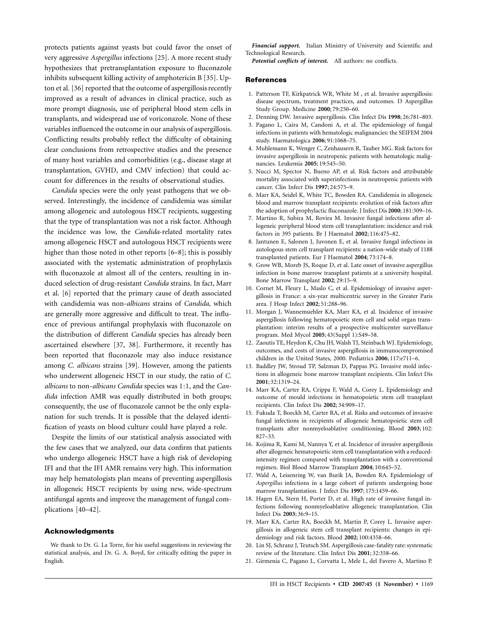protects patients against yeasts but could favor the onset of very aggressive *Aspergillus* infections [25]. A more recent study hypothesizes that pretransplantation exposure to fluconazole inhibits subsequent killing activity of amphotericin B [35]. Upton et al. [36] reported that the outcome of aspergillosis recently improved as a result of advances in clinical practice, such as more prompt diagnosis, use of peripheral blood stem cells in transplants, and widespread use of voriconazole. None of these variables influenced the outcome in our analysis of aspergillosis. Conflicting results probably reflect the difficulty of obtaining clear conclusions from retrospective studies and the presence of many host variables and comorbidities (e.g., disease stage at transplantation, GVHD, and CMV infection) that could account for differences in the results of observational studies.

*Candida* species were the only yeast pathogens that we observed. Interestingly, the incidence of candidemia was similar among allogeneic and autologous HSCT recipients, suggesting that the type of transplantation was not a risk factor. Although the incidence was low, the *Candida*-related mortality rates among allogeneic HSCT and autologous HSCT recipients were higher than those noted in other reports [6–8]; this is possibly associated with the systematic administration of prophylaxis with fluconazole at almost all of the centers, resulting in induced selection of drug-resistant *Candida* strains. In fact, Marr et al. [6] reported that the primary cause of death associated with candidemia was non-*albicans* strains of *Candida,* which are generally more aggressive and difficult to treat. The influence of previous antifungal prophylaxis with fluconazole on the distribution of different *Candida* species has already been ascertained elsewhere [37, 38]. Furthermore, it recently has been reported that fluconazole may also induce resistance among *C. albicans* strains [39]. However, among the patients who underwent allogeneic HSCT in our study, the ratio of *C. albicans* to non-*albicans Candida* species was 1:1, and the *Candida* infection AMR was equally distributed in both groups; consequently, the use of fluconazole cannot be the only explanation for such trends. It is possible that the delayed identification of yeasts on blood culture could have played a role.

Despite the limits of our statistical analysis associated with the few cases that we analyzed, our data confirm that patients who undergo allogeneic HSCT have a high risk of developing IFI and that the IFI AMR remains very high. This information may help hematologists plan means of preventing aspergillosis in allogeneic HSCT recipients by using new, wide-spectrum antifungal agents and improve the management of fungal complications [40–42].

#### **Acknowledgments**

We thank to Dr. G. La Torre, for his useful suggestions in reviewing the statistical analysis, and Dr. G. A. Boyd, for critically editing the paper in English.

*Financial support.* Italian Ministry of University and Scientific and Technological Research.

*Potential conflicts of interest.* All authors: no conflicts.

#### **References**

- 1. Patterson TF, Kirkpatrick WR, White M , et al. Invasive aspergillosis: disease spectrum, treatment practices, and outcomes. I3 Aspergillus Study Group. Medicine **2000**; 79:250–60.
- 2. Denning DW. Invasive aspergillosis. Clin Infect Dis **1998**; 26:781–803.
- 3. Pagano L, Caira M, Candoni A, et al. The epidemiology of fungal infections in patients with hematologic malignancies: the SEIFEM 2004 study. Haematologica **2006**; 91:1068–75.
- 4. Muhlemann K, Wenger C, Zenhausern R, Tauber MG. Risk factors for invasive aspergillosis in neutropenic patients with hematologic malignancies. Leukemia **2005**; 19:545–50.
- 5. Nucci M, Spector N, Bueno AP, et al. Risk factors and attributable mortality associated with superinfections in neutropenic patients with cancer. Clin Infect Dis **1997**; 24:575–9.
- 6. Marr KA, Seidel K, White TC, Bowden RA. Candidemia in allogeneic blood and marrow transplant recipients: evolution of risk factors after the adoption of prophylactic fluconazole. J Infect Dis **2000**; 181:309–16.
- 7. Martino R, Subira M, Rovira M. Invasive fungal infections after allogeneic peripheral blood stem cell transplantation: incidence and risk factors in 395 patients. Br J Haematol **2002**; 116:475–82.
- 8. Jantunen E, Salonen J, Juvonen E, et al. Invasive fungal infections in autologous stem cell transplant recipients: a nation-wide study of 1188 transplanted patients. Eur J Haematol **2004**; 73:174–8.
- 9. Grow WB, Moreb JS, Roque D, et al. Late onset of invasive aspergillus infection in bone marrow transplant patients at a university hospital. Bone Marrow Transplant **2002**; 29:15–9.
- 10. Cornet M, Fleury L, Maslo C, et al. Epidemiology of invasive aspergillosis in France: a six-year multicentric survey in the Greater Paris area. J Hosp Infect **2002**; 51:288–96.
- 11. Morgan J, Wannemuehler KA, Marr KA, et al. Incidence of invasive aspergillosis following hematopoietic stem cell and solid organ transplantation: interim results of a prospective multicenter surveillance program. Med Mycol **2005**; 43(Suppl 1):S49–58.
- 12. Zaoutis TE, Heydon K, Chu JH, Walsh TJ, Steinbach WJ. Epidemiology, outcomes, and costs of invasive aspergillosis in immunocompromised children in the United States, 2000. Pediatrics **2006**; 117:e711–6.
- 13. Baddley JW, Stroud TP, Salzman D, Pappas PG. Invasive mold infections in allogeneic bone marrow transplant recipients. Clin Infect Dis **2001**; 32:1319–24.
- 14. Marr KA, Carter RA, Crippa F, Wald A, Corey L. Epidemiology and outcome of mould infections in hematopoietic stem cell transplant recipients. Clin Infect Dis **2002**; 34:909–17.
- 15. Fukuda T, Boeckh M, Carter RA, et al. Risks and outcomes of invasive fungal infections in recipients of allogeneic hematopoietic stem cell transplants after nonmyeloablative conditioning. Blood **2003**; 102: 827–33.
- 16. Kojima R, Kami M, Nannya Y, et al. Incidence of invasive aspergillosis after allogeneic hematopoietic stem cell transplantation with a reducedintensity regimen compared with transplantation with a conventional regimen. Biol Blood Marrow Transplant **2004**; 10:645–52.
- 17. Wald A, Leisenring W, van Burik JA, Bowden RA. Epidemiology of *Aspergillus* infections in a large cohort of patients undergoing bone marrow transplantation. J Infect Dis **1997**; 175:1459–66.
- 18. Hagen EA, Stern H, Porter D, et al. High rate of invasive fungal infections following nonmyeloablative allogeneic transplantation. Clin Infect Dis **2003**; 36:9–15.
- 19. Marr KA, Carter RA, Boeckh M, Martin P, Corey L. Invasive aspergillosis in allogeneic stem cell transplant recipients: changes in epidemiology and risk factors. Blood **2002**; 100:4358–66.
- 20. Lin SJ, Schranz J, Teutsch SM. Aspergillosis case-fatality rate: systematic review of the literature. Clin Infect Dis **2001**; 32:358–66.
- 21. Girmenia C, Pagano L, Corvatta L, Mele L, del Favero A, Martino P.